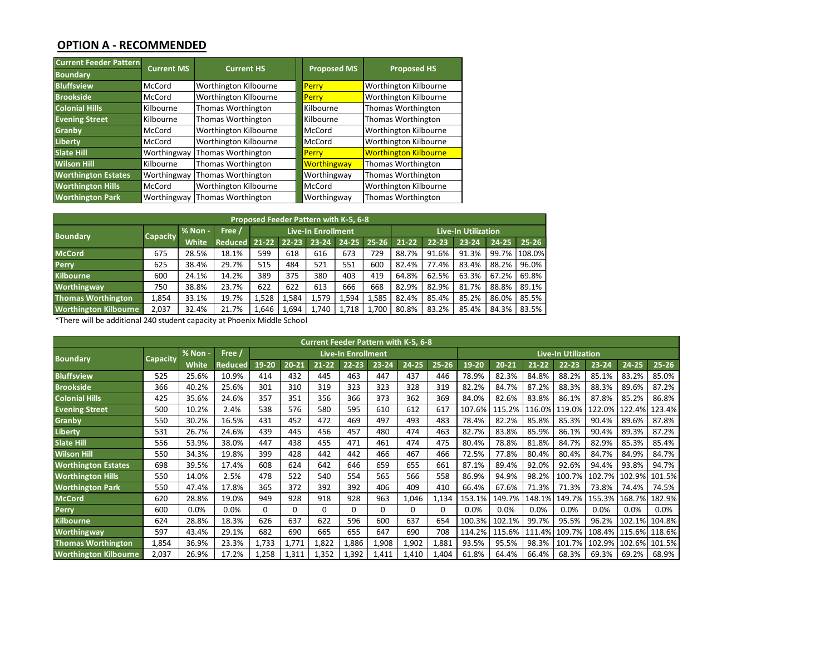## **OPTION A - RECOMMENDED**

| <b>Current Feeder Pattern</b> | <b>Current MS</b> | <b>Current HS</b>     | <b>Proposed MS</b> | <b>Proposed HS</b>           |
|-------------------------------|-------------------|-----------------------|--------------------|------------------------------|
| <b>Boundary</b>               |                   |                       |                    |                              |
| <b>Bluffsview</b>             | McCord            | Worthington Kilbourne | Perry              | Worthington Kilbourne        |
| <b>Brookside</b>              | McCord            | Worthington Kilbourne | Perry              | Worthington Kilbourne        |
| <b>Colonial Hills</b>         | Kilbourne         | Thomas Worthington    | Kilbourne          | Thomas Worthington           |
| <b>Evening Street</b>         | Kilbourne         | Thomas Worthington    | Kilbourne          | Thomas Worthington           |
| Granby                        | McCord            | Worthington Kilbourne | McCord             | Worthington Kilbourne        |
| Liberty,                      | McCord            | Worthington Kilbourne | McCord             | Worthington Kilbourne        |
| <b>Slate Hill</b>             | Worthingway       | Thomas Worthington    | Perry              | <b>Worthington Kilbourne</b> |
| <b>Wilson Hill</b>            | Kilbourne         | Thomas Worthington    | <b>Worthingway</b> | Thomas Worthington           |
| <b>Worthington Estates</b>    | Worthingway       | Thomas Worthington    | Worthingway        | Thomas Worthington           |
| <b>Worthington Hills</b>      | McCord            | Worthington Kilbourne | McCord             | Worthington Kilbourne        |
| <b>Worthington Park</b>       | Worthingway       | Thomas Worthington    | Worthingway        | Thomas Worthington           |

| <b>Worthington Park</b>                                                 | Worthingway     |              | Thomas Worthington |           |           | Worthingway                                                        |           |           | Thomas Worthington         |           |           |           |           |  |  |
|-------------------------------------------------------------------------|-----------------|--------------|--------------------|-----------|-----------|--------------------------------------------------------------------|-----------|-----------|----------------------------|-----------|-----------|-----------|-----------|--|--|
|                                                                         |                 | % Non -      | Free /             |           |           | Proposed Feeder Pattern with K-5, 6-8<br><b>Live-In Enrollment</b> |           |           | <b>Live-In Utilization</b> |           |           |           |           |  |  |
| <b>Boundary</b>                                                         | <b>Capacity</b> | <b>White</b> | <b>Reduced</b>     | $21 - 22$ | $22 - 23$ | 23-24                                                              | $24 - 25$ | $25 - 26$ | $21 - 22$                  | $22 - 23$ | $23 - 24$ | $24 - 25$ | $25 - 26$ |  |  |
| <b>McCord</b>                                                           | 675             | 28.5%        | 18.1%              | 599       | 618       | 616                                                                | 673       | 729       | 88.7%                      | 91.6%     | 91.3%     | 99.7%     | 108.0%    |  |  |
| Perry                                                                   | 625             | 38.4%        | 29.7%              | 515       | 484       | 521                                                                | 551       | 600       | 82.4%                      | 77.4%     | 83.4%     | 88.2%     | 96.0%     |  |  |
| <b>Kilbourne</b>                                                        | 600             | 24.1%        | 14.2%              | 389       | 375       | 380                                                                | 403       | 419       | 64.8%                      | 62.5%     | 63.3%     | 67.2%     | 69.8%     |  |  |
| <b>Worthingway</b>                                                      | 750             | 38.8%        | 23.7%              | 622       | 622       | 613                                                                | 666       | 668       | 82.9%                      | 82.9%     | 81.7%     | 88.8%     | 89.1%     |  |  |
| <b>Thomas Worthington</b>                                               | 1,854           | 33.1%        | 19.7%              | 1,528     | 1,584     | 1,579                                                              | 1,594     | 1,585     | 82.4%                      | 85.4%     | 85.2%     | 86.0%     | 85.5%     |  |  |
| <b>Worthington Kilbourne</b>                                            | 2.037           | 32.4%        | 21.7%              | 1,646     | 1,694     | 1,740                                                              | 1,718     | 1,700     | 80.8%                      | 83.2%     | 85.4%     | 84.3%     | 83.5%     |  |  |
| *There will be additional 240 student capacity at Phoenix Middle School |                 |              |                    |           |           |                                                                    |           |           |                            |           |           |           |           |  |  |

| rnomas wortnington                                                      | 1,854           | 55.1%   | 19.7%          | 1,528    | 1,584     | 1,579       | 1,594                     | 1,585    | 82.4%     | 85.4%     | 85.Z%                      | 80.U%     | 85.5%     |           |           |           |               |  |  |  |  |  |  |  |
|-------------------------------------------------------------------------|-----------------|---------|----------------|----------|-----------|-------------|---------------------------|----------|-----------|-----------|----------------------------|-----------|-----------|-----------|-----------|-----------|---------------|--|--|--|--|--|--|--|
| <b>Worthington Kilbourne</b>                                            | 2,037           | 32.4%   | 21.7%          | 1,646    | 1,694     | 1,740       | 1,718                     | 1,700    | 80.8%     | 83.2%     | 85.4%                      | 84.3%     | 83.5%     |           |           |           |               |  |  |  |  |  |  |  |
| *There will be additional 240 student capacity at Phoenix Middle School |                 |         |                |          |           |             |                           |          |           |           |                            |           |           |           |           |           |               |  |  |  |  |  |  |  |
|                                                                         |                 |         |                |          |           |             |                           |          |           |           |                            |           |           |           |           |           |               |  |  |  |  |  |  |  |
| <b>Current Feeder Pattern with K-5, 6-8</b>                             |                 |         |                |          |           |             |                           |          |           |           |                            |           |           |           |           |           |               |  |  |  |  |  |  |  |
| <b>Boundary</b>                                                         | <b>Capacity</b> | % Non - | Free /         |          |           |             | <b>Live-In Enrollment</b> |          |           |           | <b>Live-In Utilization</b> |           |           |           |           |           |               |  |  |  |  |  |  |  |
|                                                                         |                 | White   | <b>Reduced</b> | 19-20    | $20 - 21$ | $21 - 22$   | $22 - 23$                 | 23-24    | $24 - 25$ | $25 - 26$ | 19-20                      | $20 - 21$ | $21 - 22$ | $22 - 23$ | $23 - 24$ | $24 - 25$ | $25 - 26$     |  |  |  |  |  |  |  |
| <b>Bluffsview</b>                                                       | 525             | 25.6%   | 10.9%          | 414      | 432       | 445         | 463                       | 447      | 437       | 446       | 78.9%                      | 82.3%     | 84.8%     | 88.2%     | 85.1%     | 83.2%     | 85.0%         |  |  |  |  |  |  |  |
| <b>Brookside</b>                                                        | 366             | 40.2%   | 25.6%          | 301      | 310       | 319         | 323                       | 323      | 328       | 319       | 82.2%                      | 84.7%     | 87.2%     | 88.3%     | 88.3%     | 89.6%     | 87.2%         |  |  |  |  |  |  |  |
| <b>Colonial Hills</b>                                                   | 425             | 35.6%   | 24.6%          | 357      | 351       | 356         | 366                       | 373      | 362       | 369       | 84.0%                      | 82.6%     | 83.8%     | 86.1%     | 87.8%     | 85.2%     | 86.8%         |  |  |  |  |  |  |  |
| <b>Evening Street</b>                                                   | 500             | 10.2%   | 2.4%           | 538      | 576       | 580         | 595                       | 610      | 612       | 617       | 107.6%                     | 115.2%    | 116.0%    | 119.0%    | 122.0%    | 122.4%    | 123.4%        |  |  |  |  |  |  |  |
| Granby                                                                  | 550             | 30.2%   | 16.5%          | 431      | 452       | 472         | 469                       | 497      | 493       | 483       | 78.4%                      | 82.2%     | 85.8%     | 85.3%     | 90.4%     | 89.6%     | 87.8%         |  |  |  |  |  |  |  |
| Liberty                                                                 | 531             | 26.7%   | 24.6%          | 439      | 445       | 456         | 457                       | 480      | 474       | 463       | 82.7%                      | 83.8%     | 85.9%     | 86.1%     | 90.4%     | 89.3%     | 87.2%         |  |  |  |  |  |  |  |
| <b>Slate Hill</b>                                                       | 556             | 53.9%   | 38.0%          | 447      | 438       | 455         | 471                       | 461      | 474       | 475       | 80.4%                      | 78.8%     | 81.8%     | 84.7%     | 82.9%     | 85.3%     | 85.4%         |  |  |  |  |  |  |  |
| <b>Wilson Hill</b>                                                      | 550             | 34.3%   | 19.8%          | 399      | 428       | 442         | 442                       | 466      | 467       | 466       | 72.5%                      | 77.8%     | 80.4%     | 80.4%     | 84.7%     | 84.9%     | 84.7%         |  |  |  |  |  |  |  |
| <b>Worthington Estates</b>                                              | 698             | 39.5%   | 17.4%          | 608      | 624       | 642         | 646                       | 659      | 655       | 661       | 87.1%                      | 89.4%     | 92.0%     | 92.6%     | 94.4%     | 93.8%     | 94.7%         |  |  |  |  |  |  |  |
| <b>Worthington Hills</b>                                                | 550             | 14.0%   | 2.5%           | 478      | 522       | 540         | 554                       | 565      | 566       | 558       | 86.9%                      | 94.9%     | 98.2%     | 100.7%    | 102.7%    | 102.9%    | 101.5%        |  |  |  |  |  |  |  |
| <b>Worthington Park</b>                                                 | 550             | 47.4%   | 17.8%          | 365      | 372       | 392         | 392                       | 406      | 409       | 410       | 66.4%                      | 67.6%     | 71.3%     | 71.3%     | 73.8%     | 74.4%     | 74.5%         |  |  |  |  |  |  |  |
| <b>McCord</b>                                                           | 620             | 28.8%   | 19.0%          | 949      | 928       | 918         | 928                       | 963      | 1,046     | 1,134     | 153.1%                     | 149.7%    | 148.1%    | 149.7%    | 155.3%    | 168.7%    | 182.9%        |  |  |  |  |  |  |  |
| <b>Perry</b>                                                            | 600             | 0.0%    | 0.0%           | $\Omega$ | $\Omega$  | $\mathbf 0$ | $\Omega$                  | $\Omega$ | $\Omega$  | 0         | 0.0%                       | 0.0%      | 0.0%      | 0.0%      | 0.0%      | 0.0%      | 0.0%          |  |  |  |  |  |  |  |
| Kilbourne                                                               | 624             | 28.8%   | 18.3%          | 626      | 637       | 622         | 596                       | 600      | 637       | 654       | 100.3%                     | 102.1%    | 99.7%     | 95.5%     | 96.2%     | 102.1%    | 104.8%        |  |  |  |  |  |  |  |
| <b>Worthingway</b>                                                      | 597             | 43.4%   | 29.1%          | 682      | 690       | 665         | 655                       | 647      | 690       | 708       | 114.2%                     | 115.6%    | 111.4%    | 109.7%    | 108.4%    |           | 115.6% 118.6% |  |  |  |  |  |  |  |
| <b>Thomas Worthington</b>                                               | 1,854           | 36.9%   | 23.3%          | 1,733    | 1,771     | 1,822       | 1,886                     | 1,908    | 1,902     | 1,881     | 93.5%                      | 95.5%     | 98.3%     | 101.7%    | 102.9%    |           | 102.6% 101.5% |  |  |  |  |  |  |  |
| <b>Worthington Kilbourne</b>                                            | 2,037           | 26.9%   | 17.2%          | 1,258    | 1,311     | 1,352       | 1,392                     | 1,411    | 1,410     | 1,404     | 61.8%                      | 64.4%     | 66.4%     | 68.3%     | 69.3%     | 69.2%     | 68.9%         |  |  |  |  |  |  |  |
|                                                                         |                 |         |                |          |           |             |                           |          |           |           |                            |           |           |           |           |           |               |  |  |  |  |  |  |  |
|                                                                         |                 |         |                |          |           |             |                           |          |           |           |                            |           |           |           |           |           |               |  |  |  |  |  |  |  |